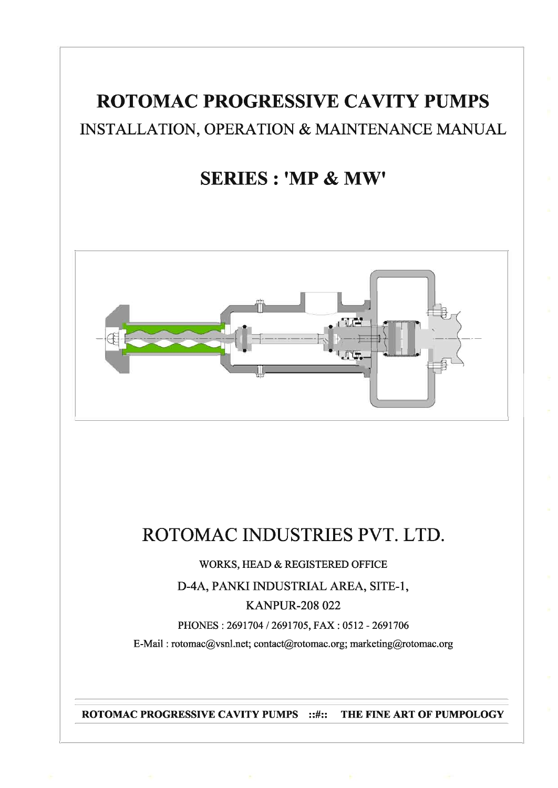# **ROTOMAC PROGRESSIVE CAVITY PUMPS** INSTALLATION, OPERATION & MAINTENANCE MANUAL

# **SERIES: 'MP & MW'**



# ROTOMAC INDUSTRIES PVT. LTD.

WORKS, HEAD & REGISTERED OFFICE

D-4A, PANKI INDUSTRIAL AREA, SITE-1,

## **KANPUR-208 022**

PHONES: 2691704 / 2691705, FAX: 0512 - 2691706

E-Mail: rotomac@vsnl.net; contact@rotomac.org; marketing@rotomac.org

**ROTOMAC PROGRESSIVE CAVITY PUMPS ::#::** THE FINE ART OF PUMPOLOGY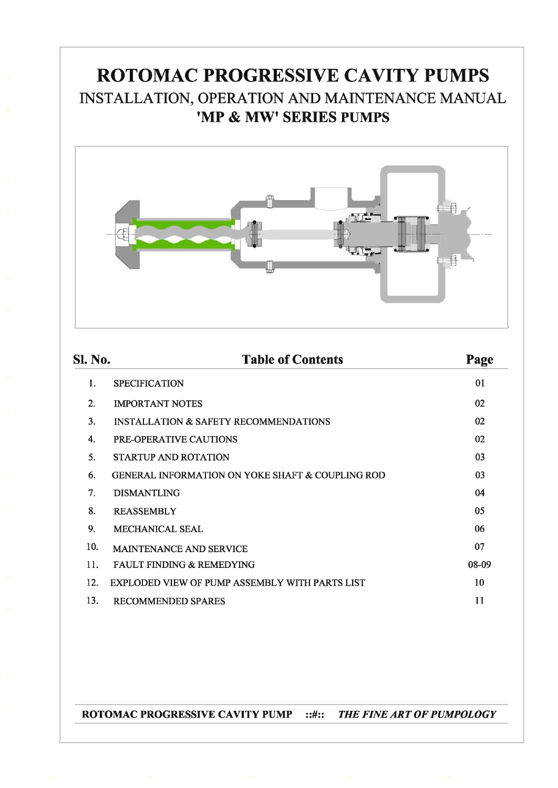# ROTOMAC PROGRESSIVE CAVITY PUMPS INSTALLATION, OPERATION AND MAINTENANCE MANUAL 'MP & MW' SERIES PUMPS



| <b>Sl. No.</b>   | <b>Table of Contents</b>                                    | Page  |
|------------------|-------------------------------------------------------------|-------|
| 1.               | <b>SPECIFICATION</b>                                        | 01    |
| $\overline{2}$ . | <b>IMPORTANT NOTES</b>                                      | 02    |
| 3.               | <b>INSTALLATION &amp; SAFETY RECOMMENDATIONS</b>            | 02    |
| 4.               | <b>PRE-OPERATIVE CAUTIONS</b>                               | 02    |
| 5.               | <b>STARTUP AND ROTATION</b>                                 | 03    |
| 6.               | <b>GENERAL INFORMATION ON YOKE SHAFT &amp; COUPLING ROD</b> | 03    |
| 7 <sub>1</sub>   | <b>DISMANTLING</b>                                          | 04    |
| 8.               | <b>REASSEMBLY</b>                                           | 05    |
| 9.               | <b>MECHANICAL SEAL</b>                                      | 06    |
| 10.              | MAINTENANCE AND SERVICE                                     | 07    |
| 11.              | <b>FAULT FINDING &amp; REMEDYING</b>                        | 08-09 |
| 12.              | <b>EXPLODED VIEW OF PUMP ASSEMBLY WITH PARTS LIST</b>       | 10    |
| 13.              | <b>RECOMMENDED SPARES</b>                                   | 11    |

**ROTOMAC PROGRESSIVE CAVITY PUMP ::#::** THE FINE ART OF PUMPOLOGY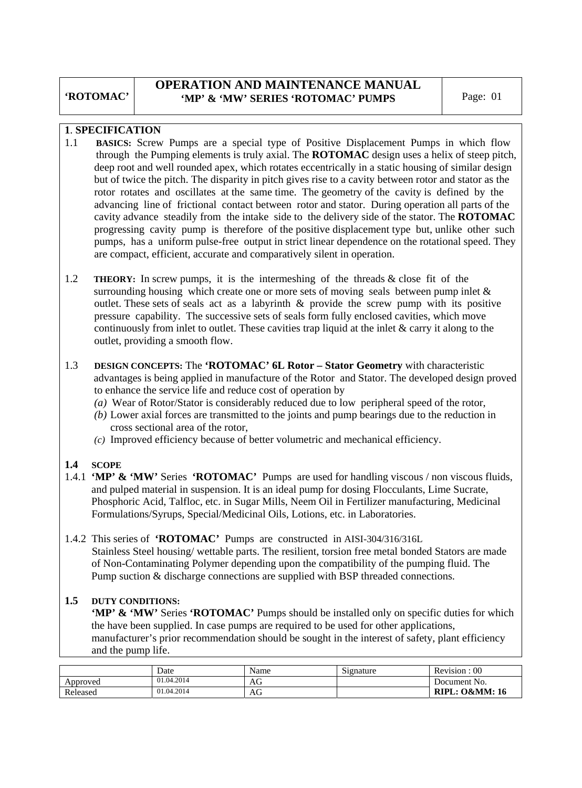## **OPERATION AND MAINTENANCE MANUAL**  'MP' & 'MW' SERIES 'ROTOMAC' PUMPS Page: 01

#### **1**. **SPECIFICATION**

- 1.1 **BASICS:** Screw Pumps are a special type of Positive Displacement Pumps in which flow through the Pumping elements is truly axial. The **ROTOMAC** design uses a helix of steep pitch, deep root and well rounded apex, which rotates eccentrically in a static housing of similar design but of twice the pitch. The disparity in pitch gives rise to a cavity between rotor and stator as the rotor rotates and oscillates at the same time. The geometry of the cavity is defined by the advancing line of frictional contact between rotor and stator. During operation all parts of the cavity advance steadily from the intake side to the delivery side of the stator. The **ROTOMAC** progressing cavity pump is therefore of the positive displacement type but, unlike other such pumps, has a uniform pulse-free output in strict linear dependence on the rotational speed. They are compact, efficient, accurate and comparatively silent in operation.
- 1.2 **THEORY:** In screw pumps, it is the intermeshing of the threads & close fit of the surrounding housing which create one or more sets of moving seals between pump inlet & outlet. These sets of seals act as a labyrinth & provide the screw pump with its positive pressure capability. The successive sets of seals form fully enclosed cavities, which move continuously from inlet to outlet. These cavities trap liquid at the inlet & carry it along to the outlet, providing a smooth flow.
- 1.3 **DESIGN CONCEPTS:** The **'ROTOMAC' 6L Rotor Stator Geometry** with characteristic advantages is being applied in manufacture of the Rotor and Stator. The developed design proved to enhance the service life and reduce cost of operation by
	- *(a)* Wear of Rotor/Stator is considerably reduced due to low peripheral speed of the rotor,
	- *(b)* Lower axial forces are transmitted to the joints and pump bearings due to the reduction in cross sectional area of the rotor,
	- *(c)* Improved efficiency because of better volumetric and mechanical efficiency.

#### **1.4 SCOPE**

1.4.1 **'MP' & 'MW'** Series **'ROTOMAC'** Pumps are used for handling viscous / non viscous fluids, and pulped material in suspension. It is an ideal pump for dosing Flocculants, Lime Sucrate, Phosphoric Acid, Talfloc, etc. in Sugar Mills, Neem Oil in Fertilizer manufacturing, Medicinal Formulations/Syrups, Special/Medicinal Oils, Lotions, etc. in Laboratories.

#### 1.4.2 This series of **'ROTOMAC'** Pumps are constructed in AISI-304/316/316L Stainless Steel housing/ wettable parts. The resilient, torsion free metal bonded Stators are made of Non-Contaminating Polymer depending upon the compatibility of the pumping fluid. The Pump suction & discharge connections are supplied with BSP threaded connections.

#### **1.5 DUTY CONDITIONS:**

**'MP' & 'MW' Series 'ROTOMAC'** Pumps should be installed only on specific duties for which the have been supplied. In case pumps are required to be used for other applications, manufacturer's prior recommendation should be sought in the interest of safety, plant efficiency and the pump life.

|          | Date       | Name | $\sim$<br>Signature | 00<br>Revision:           |
|----------|------------|------|---------------------|---------------------------|
| Approved | 01.04.2014 | AG   |                     | Document No.              |
| Released | 01.04.2014 | AG   |                     | <b>RIPL: O&amp;MM: 16</b> |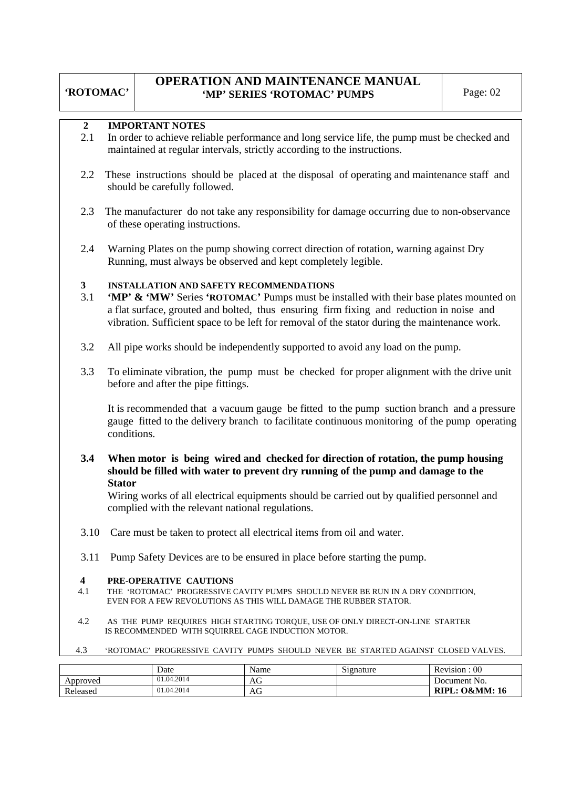### **OPERATION AND MAINTENANCE MANUAL 'MP' SERIES 'ROTOMAC' PUMPS** Page: 02

#### **2 IMPORTANT NOTES**

- 2.1 In order to achieve reliable performance and long service life, the pump must be checked and maintained at regular intervals, strictly according to the instructions.
- 2.2 These instructions should be placed at the disposal of operating and maintenance staff and should be carefully followed.
- 2.3 The manufacturer do not take any responsibility for damage occurring due to non-observance of these operating instructions.
- 2.4 Warning Plates on the pump showing correct direction of rotation, warning against Dry Running, must always be observed and kept completely legible.

#### **3 INSTALLATION AND SAFETY RECOMMENDATIONS**

- 3.1 **'MP' & 'MW'** Series **'ROTOMAC'** Pumps must be installed with their base plates mounted on a flat surface, grouted and bolted, thus ensuring firm fixing and reduction in noise and vibration. Sufficient space to be left for removal of the stator during the maintenance work.
- 3.2 All pipe works should be independently supported to avoid any load on the pump.
- 3.3 To eliminate vibration, the pump must be checked for proper alignment with the drive unit before and after the pipe fittings.

 It is recommended that a vacuum gauge be fitted to the pump suction branch and a pressure gauge fitted to the delivery branch to facilitate continuous monitoring of the pump operating conditions.

**3.4 When motor is being wired and checked for direction of rotation, the pump housing should be filled with water to prevent dry running of the pump and damage to the Stator**

 Wiring works of all electrical equipments should be carried out by qualified personnel and complied with the relevant national regulations.

- 3.10 Care must be taken to protect all electrical items from oil and water.
- 3.11 Pump Safety Devices are to be ensured in place before starting the pump.

#### **4 PRE-OPERATIVE CAUTIONS**

- 4.1THE 'ROTOMAC' PROGRESSIVE CAVITY PUMPS SHOULD NEVER BE RUN IN A DRY CONDITION, EVEN FOR A FEW REVOLUTIONS AS THIS WILL DAMAGE THE RUBBER STATOR.
- 4.2 AS THE PUMP REQUIRES HIGH STARTING TORQUE, USE OF ONLY DIRECT-ON-LINE STARTER IS RECOMMENDED WITH SQUIRREL CAGE INDUCTION MOTOR.
- 4.3 'ROTOMAC' PROGRESSIVE CAVITY PUMPS SHOULD NEVER BE STARTED AGAINST CLOSED VALVES.

|          | Date       | Name | Signature | Revision : 00             |
|----------|------------|------|-----------|---------------------------|
| Approved | 01.04.2014 | AG   |           | Document No.              |
| Released | 01.04.2014 | AG   |           | <b>RIPL: O&amp;MM: 16</b> |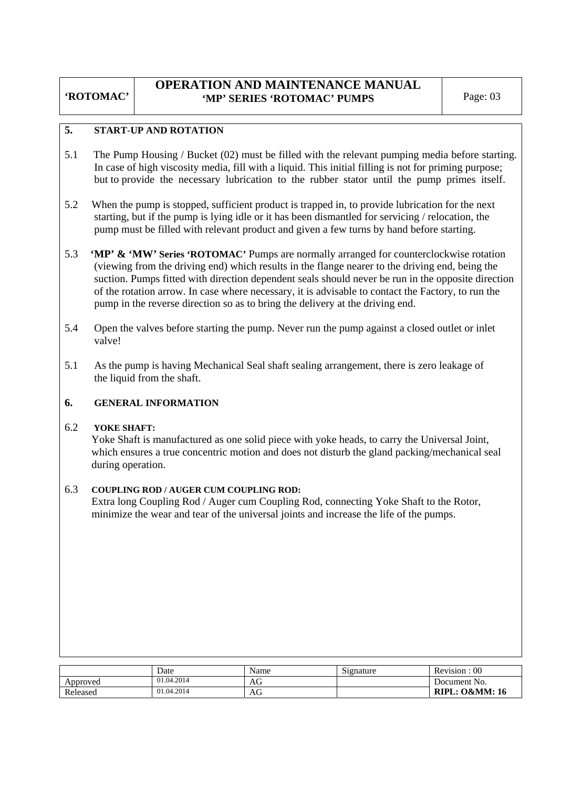## **OPERATION AND MAINTENANCE MANUAL 'MP' SERIES 'ROTOMAC' PUMPS** Page: 03

#### **5. START**-**UP AND ROTATION**

- 5.1 The Pump Housing / Bucket (02) must be filled with the relevant pumping media before starting. In case of high viscosity media, fill with a liquid. This initial filling is not for priming purpose; but to provide the necessary lubrication to the rubber stator until the pump primes itself.
- 5.2 When the pump is stopped, sufficient product is trapped in, to provide lubrication for the next starting, but if the pump is lying idle or it has been dismantled for servicing / relocation, the pump must be filled with relevant product and given a few turns by hand before starting.
- 5.3 **'MP' & 'MW' Series 'ROTOMAC'** Pumps are normally arranged for counterclockwise rotation (viewing from the driving end) which results in the flange nearer to the driving end, being the suction. Pumps fitted with direction dependent seals should never be run in the opposite direction of the rotation arrow. In case where necessary, it is advisable to contact the Factory, to run the pump in the reverse direction so as to bring the delivery at the driving end.
- 5.4 Open the valves before starting the pump. Never run the pump against a closed outlet or inlet valve!
- 5.1 As the pump is having Mechanical Seal shaft sealing arrangement, there is zero leakage of the liquid from the shaft.

#### **6. GENERAL INFORMATION**

#### 6.2 **YOKE SHAFT:**

 Yoke Shaft is manufactured as one solid piece with yoke heads, to carry the Universal Joint, which ensures a true concentric motion and does not disturb the gland packing/mechanical seal during operation.

#### 6.3 **COUPLING ROD / AUGER CUM COUPLING ROD:**

Extra long Coupling Rod / Auger cum Coupling Rod, connecting Yoke Shaft to the Rotor, minimize the wear and tear of the universal joints and increase the life of the pumps.

|          | Date       | Name | Signature | Revision : 00             |
|----------|------------|------|-----------|---------------------------|
| Approved | 01.04.2014 | AG   |           | Document No.              |
| Released | 01.04.2014 | AG   |           | <b>RIPL: O&amp;MM: 16</b> |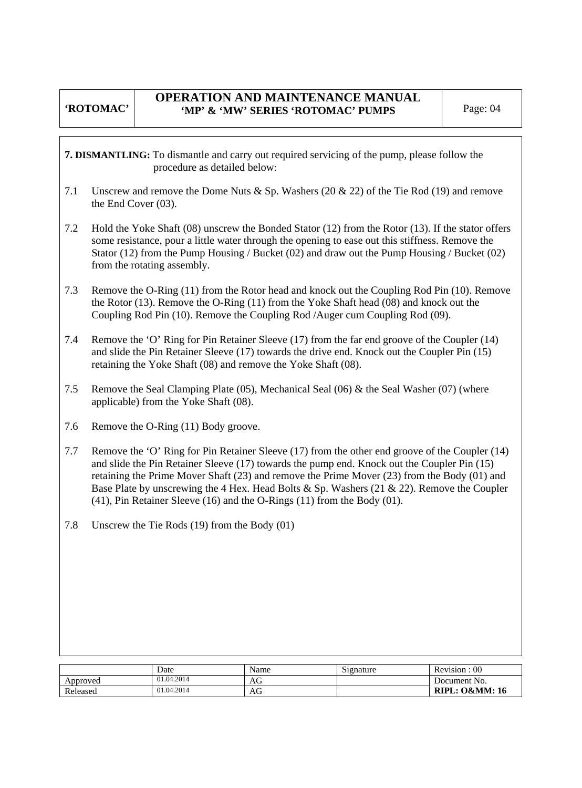## **OPERATION AND MAINTENANCE MANUAL**  'MP' & 'MW' SERIES 'ROTOMAC' PUMPS Page: 04

**7. DISMANTLING:** To dismantle and carry out required servicing of the pump, please follow the procedure as detailed below:

- 7.1 Unscrew and remove the Dome Nuts & Sp. Washers (20 & 22) of the Tie Rod (19) and remove the End Cover (03).
- 7.2 Hold the Yoke Shaft (08) unscrew the Bonded Stator (12) from the Rotor (13). If the stator offers some resistance, pour a little water through the opening to ease out this stiffness. Remove the Stator (12) from the Pump Housing / Bucket (02) and draw out the Pump Housing / Bucket (02) from the rotating assembly.
- 7.3 Remove the O-Ring (11) from the Rotor head and knock out the Coupling Rod Pin (10). Remove the Rotor (13). Remove the O-Ring (11) from the Yoke Shaft head (08) and knock out the Coupling Rod Pin (10). Remove the Coupling Rod /Auger cum Coupling Rod (09).
- 7.4 Remove the 'O' Ring for Pin Retainer Sleeve (17) from the far end groove of the Coupler (14) and slide the Pin Retainer Sleeve (17) towards the drive end. Knock out the Coupler Pin (15) retaining the Yoke Shaft (08) and remove the Yoke Shaft (08).
- 7.5 Remove the Seal Clamping Plate (05), Mechanical Seal (06) & the Seal Washer (07) (where applicable) from the Yoke Shaft (08).
- 7.6 Remove the O-Ring (11) Body groove.
- 7.7 Remove the 'O' Ring for Pin Retainer Sleeve (17) from the other end groove of the Coupler (14) and slide the Pin Retainer Sleeve (17) towards the pump end. Knock out the Coupler Pin (15) retaining the Prime Mover Shaft (23) and remove the Prime Mover (23) from the Body (01) and Base Plate by unscrewing the 4 Hex. Head Bolts & Sp. Washers (21 & 22). Remove the Coupler (41), Pin Retainer Sleeve (16) and the O-Rings (11) from the Body (01).
- 7.8 Unscrew the Tie Rods (19) from the Body (01)

|          | Date       | Name | Signature | $\cdot$ 00<br>Revision :  |
|----------|------------|------|-----------|---------------------------|
| Approved | 01.04.2014 | AG   |           | Document No.              |
| Released | 01.04.2014 | AG   |           | <b>RIPL: O&amp;MM: 16</b> |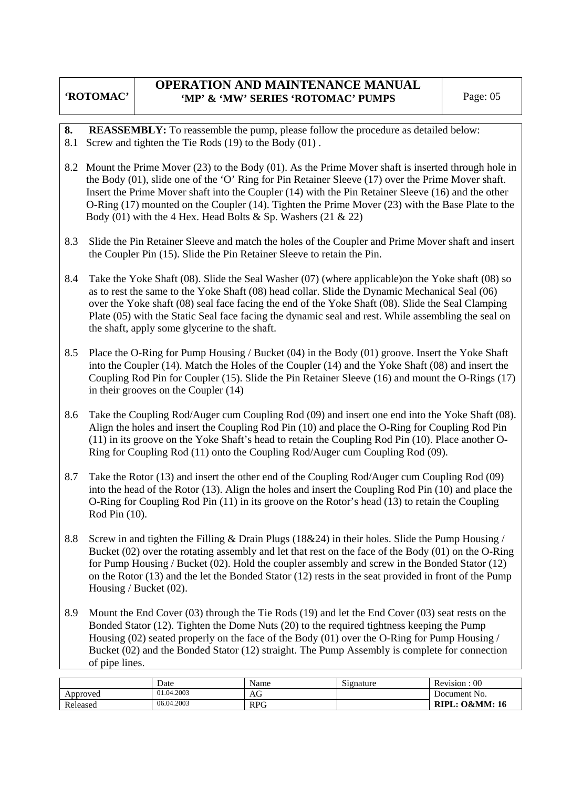## **OPERATION AND MAINTENANCE MANUAL**  'MP' & 'MW' SERIES 'ROTOMAC' PUMPS Page: 05

- **8. REASSEMBLY:** To reassemble the pump, please follow the procedure as detailed below:
- 8.1 Screw and tighten the Tie Rods (19) to the Body (01) .
- 8.2 Mount the Prime Mover (23) to the Body (01). As the Prime Mover shaft is inserted through hole in the Body (01), slide one of the 'O' Ring for Pin Retainer Sleeve (17) over the Prime Mover shaft. Insert the Prime Mover shaft into the Coupler (14) with the Pin Retainer Sleeve (16) and the other O-Ring (17) mounted on the Coupler (14). Tighten the Prime Mover (23) with the Base Plate to the Body (01) with the 4 Hex. Head Bolts & Sp. Washers (21 & 22)
- 8.3 Slide the Pin Retainer Sleeve and match the holes of the Coupler and Prime Mover shaft and insert the Coupler Pin (15). Slide the Pin Retainer Sleeve to retain the Pin.
- 8.4 Take the Yoke Shaft (08). Slide the Seal Washer (07) (where applicable)on the Yoke shaft (08) so as to rest the same to the Yoke Shaft (08) head collar. Slide the Dynamic Mechanical Seal (06) over the Yoke shaft (08) seal face facing the end of the Yoke Shaft (08). Slide the Seal Clamping Plate (05) with the Static Seal face facing the dynamic seal and rest. While assembling the seal on the shaft, apply some glycerine to the shaft.
- 8.5 Place the O-Ring for Pump Housing / Bucket (04) in the Body (01) groove. Insert the Yoke Shaft into the Coupler (14). Match the Holes of the Coupler (14) and the Yoke Shaft (08) and insert the Coupling Rod Pin for Coupler (15). Slide the Pin Retainer Sleeve (16) and mount the O-Rings (17) in their grooves on the Coupler (14)
- 8.6 Take the Coupling Rod/Auger cum Coupling Rod (09) and insert one end into the Yoke Shaft (08). Align the holes and insert the Coupling Rod Pin (10) and place the O-Ring for Coupling Rod Pin (11) in its groove on the Yoke Shaft's head to retain the Coupling Rod Pin (10). Place another O-Ring for Coupling Rod (11) onto the Coupling Rod/Auger cum Coupling Rod (09).
- 8.7 Take the Rotor (13) and insert the other end of the Coupling Rod/Auger cum Coupling Rod (09) into the head of the Rotor (13). Align the holes and insert the Coupling Rod Pin (10) and place the O-Ring for Coupling Rod Pin (11) in its groove on the Rotor's head (13) to retain the Coupling Rod Pin (10).
- 8.8 Screw in and tighten the Filling & Drain Plugs (18&24) in their holes. Slide the Pump Housing / Bucket (02) over the rotating assembly and let that rest on the face of the Body (01) on the O-Ring for Pump Housing / Bucket (02). Hold the coupler assembly and screw in the Bonded Stator (12) on the Rotor (13) and the let the Bonded Stator (12) rests in the seat provided in front of the Pump Housing / Bucket (02).
- 8.9 Mount the End Cover (03) through the Tie Rods (19) and let the End Cover (03) seat rests on the Bonded Stator (12). Tighten the Dome Nuts (20) to the required tightness keeping the Pump Housing (02) seated properly on the face of the Body (01) over the O-Ring for Pump Housing / Bucket (02) and the Bonded Stator (12) straight. The Pump Assembly is complete for connection of pipe lines.

|          | Date       | Name         | $\tilde{\phantom{a}}$<br>Signature | $00\,$<br>Revision:       |
|----------|------------|--------------|------------------------------------|---------------------------|
| Approved | 01.04.2003 | $\sim$<br>AG |                                    | Document No.              |
| Released | 06.04.2003 | <b>RPG</b>   |                                    | <b>RIPL: O&amp;MM: 16</b> |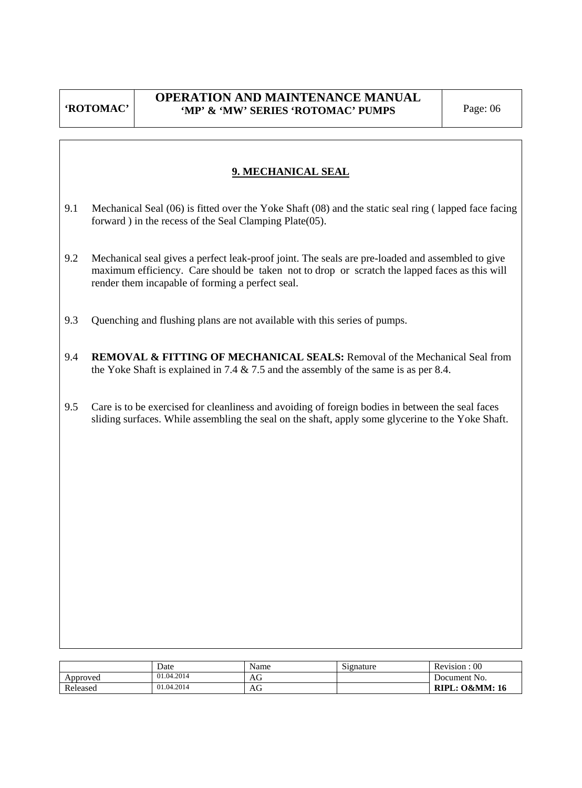## **OPERATION AND MAINTENANCE MANUAL**  'MP' & 'MW' SERIES 'ROTOMAC' PUMPS Page: 06

## **9. MECHANICAL SEAL**

- 9.1 Mechanical Seal (06) is fitted over the Yoke Shaft (08) and the static seal ring ( lapped face facing forward ) in the recess of the Seal Clamping Plate(05).
- 9.2 Mechanical seal gives a perfect leak-proof joint. The seals are pre-loaded and assembled to give maximum efficiency. Care should be taken not to drop or scratch the lapped faces as this will render them incapable of forming a perfect seal.
- 9.3 Quenching and flushing plans are not available with this series of pumps.
- 9.4 **REMOVAL & FITTING OF MECHANICAL SEALS:** Removal of the Mechanical Seal from the Yoke Shaft is explained in 7.4 & 7.5 and the assembly of the same is as per 8.4.
- 9.5 Care is to be exercised for cleanliness and avoiding of foreign bodies in between the seal faces sliding surfaces. While assembling the seal on the shaft, apply some glycerine to the Yoke Shaft.

|          | Date       | Name | Signature | Revision : 00             |
|----------|------------|------|-----------|---------------------------|
| Approved | 01.04.2014 | AG   |           | Document No.              |
| Released | 01.04.2014 | AG   |           | <b>RIPL: O&amp;MM: 16</b> |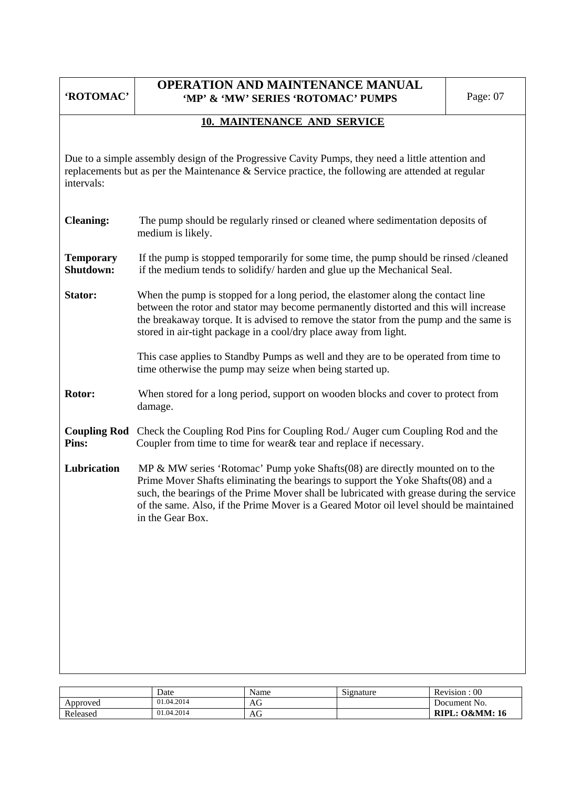| 'ROTOMAC'                                                                                                                                       | <b>OPERATION AND MAINTENANCE MANUAL</b><br>'MP' & 'MW' SERIES 'ROTOMAC' PUMPS                                                                                                                                                                                                                                                                                                | Page: 07 |  |  |  |  |  |  |  |  |
|-------------------------------------------------------------------------------------------------------------------------------------------------|------------------------------------------------------------------------------------------------------------------------------------------------------------------------------------------------------------------------------------------------------------------------------------------------------------------------------------------------------------------------------|----------|--|--|--|--|--|--|--|--|
|                                                                                                                                                 | 10. MAINTENANCE AND SERVICE                                                                                                                                                                                                                                                                                                                                                  |          |  |  |  |  |  |  |  |  |
| intervals:                                                                                                                                      | Due to a simple assembly design of the Progressive Cavity Pumps, they need a little attention and<br>replacements but as per the Maintenance $\&$ Service practice, the following are attended at regular                                                                                                                                                                    |          |  |  |  |  |  |  |  |  |
| <b>Cleaning:</b>                                                                                                                                | The pump should be regularly rinsed or cleaned where sedimentation deposits of<br>medium is likely.                                                                                                                                                                                                                                                                          |          |  |  |  |  |  |  |  |  |
| <b>Temporary</b><br>Shutdown:                                                                                                                   | If the pump is stopped temporarily for some time, the pump should be rinsed /cleaned<br>if the medium tends to solidify/harden and glue up the Mechanical Seal.                                                                                                                                                                                                              |          |  |  |  |  |  |  |  |  |
| <b>Stator:</b>                                                                                                                                  | When the pump is stopped for a long period, the elastomer along the contact line<br>between the rotor and stator may become permanently distorted and this will increase<br>the breakaway torque. It is advised to remove the stator from the pump and the same is<br>stored in air-tight package in a cool/dry place away from light.                                       |          |  |  |  |  |  |  |  |  |
| This case applies to Standby Pumps as well and they are to be operated from time to<br>time otherwise the pump may seize when being started up. |                                                                                                                                                                                                                                                                                                                                                                              |          |  |  |  |  |  |  |  |  |
| Rotor:                                                                                                                                          | When stored for a long period, support on wooden blocks and cover to protect from<br>damage.                                                                                                                                                                                                                                                                                 |          |  |  |  |  |  |  |  |  |
| Pins:                                                                                                                                           | <b>Coupling Rod</b> Check the Coupling Rod Pins for Coupling Rod./ Auger cum Coupling Rod and the<br>Coupler from time to time for wear& tear and replace if necessary.                                                                                                                                                                                                      |          |  |  |  |  |  |  |  |  |
| Lubrication                                                                                                                                     | MP & MW series 'Rotomac' Pump yoke Shafts (08) are directly mounted on to the<br>Prime Mover Shafts eliminating the bearings to support the Yoke Shafts (08) and a<br>such, the bearings of the Prime Mover shall be lubricated with grease during the service<br>of the same. Also, if the Prime Mover is a Geared Motor oil level should be maintained<br>in the Gear Box. |          |  |  |  |  |  |  |  |  |
|                                                                                                                                                 |                                                                                                                                                                                                                                                                                                                                                                              |          |  |  |  |  |  |  |  |  |
|                                                                                                                                                 |                                                                                                                                                                                                                                                                                                                                                                              |          |  |  |  |  |  |  |  |  |
|                                                                                                                                                 |                                                                                                                                                                                                                                                                                                                                                                              |          |  |  |  |  |  |  |  |  |
|                                                                                                                                                 |                                                                                                                                                                                                                                                                                                                                                                              |          |  |  |  |  |  |  |  |  |

|          | Date       | Name | Signature | $00\,$<br>T.<br>Revision     |
|----------|------------|------|-----------|------------------------------|
| Approved | 01.04.2014 | AG   |           | Document No.                 |
| Released | 01.04.2014 | AU   |           | '.: O&MM: 16<br><b>RIPL:</b> |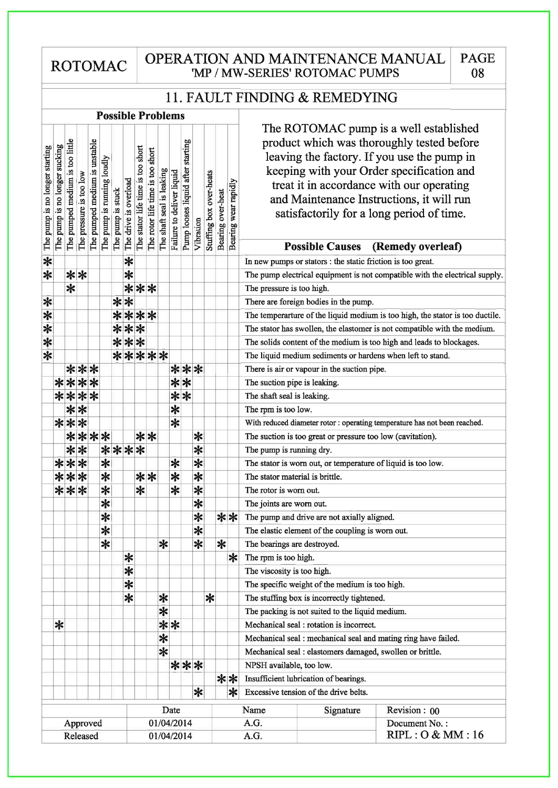**ROTOMAC** 

## OPERATION AND MAINTENANCE MANUAL 'MP / MW-SERIES' ROTOMAC PUMPS

PAGE

08

# 11. FAULT FINDING & REMEDYING

### **Possible Problems**

|                                |                               |                                 |                         |                               |                            |                   |                       |                                   |                                  |                           |                           |                                   |                   |                         |                   |                      | The ROTOMAC pump is a well established                                        |
|--------------------------------|-------------------------------|---------------------------------|-------------------------|-------------------------------|----------------------------|-------------------|-----------------------|-----------------------------------|----------------------------------|---------------------------|---------------------------|-----------------------------------|-------------------|-------------------------|-------------------|----------------------|-------------------------------------------------------------------------------|
|                                |                               |                                 |                         |                               |                            |                   |                       |                                   |                                  |                           |                           |                                   |                   |                         |                   |                      | product which was thoroughly tested before                                    |
|                                |                               |                                 |                         |                               |                            |                   |                       |                                   |                                  |                           |                           |                                   |                   |                         |                   |                      |                                                                               |
|                                |                               |                                 |                         |                               |                            |                   |                       |                                   |                                  |                           |                           |                                   |                   |                         |                   |                      | leaving the factory. If you use the pump in                                   |
|                                |                               |                                 |                         |                               |                            |                   |                       |                                   |                                  |                           |                           |                                   |                   |                         |                   |                      | keeping with your Order specification and                                     |
|                                |                               |                                 |                         |                               |                            |                   |                       |                                   |                                  |                           |                           |                                   |                   |                         |                   |                      | treat it in accordance with our operating                                     |
|                                |                               |                                 |                         |                               |                            |                   |                       |                                   |                                  |                           |                           |                                   |                   |                         |                   |                      | and Maintenance Instructions, it will run                                     |
|                                |                               |                                 |                         |                               |                            |                   |                       |                                   |                                  |                           |                           |                                   |                   |                         |                   |                      | satisfactorily for a long period of time.                                     |
|                                |                               |                                 |                         |                               |                            |                   |                       |                                   |                                  |                           |                           |                                   |                   |                         |                   |                      |                                                                               |
| The pump is no longer starting | The pump is no longer sucking | The pumped medium is too little | The pressure is too low | The pumped medium is unstable | The pump is running loudly | The pump is stuck | The drive is overload | The stator life time is too short | The rotor life time is too short | The shaft seal is leaking | Failure to deliver liquid | Pump looses liquid after starting | Vibration         | Stuffing box over-heats | Bearing over-heat | Bearing wear rapidly |                                                                               |
|                                |                               |                                 |                         |                               |                            |                   |                       |                                   |                                  |                           |                           |                                   |                   |                         |                   |                      | <b>Possible Causes</b><br>(Remedy overleaf)                                   |
| $\overline{\ast}$              |                               |                                 |                         |                               |                            |                   | $\ast$                |                                   |                                  |                           |                           |                                   |                   |                         |                   |                      | In new pumps or stators : the static friction is too great.                   |
| $\ast$                         |                               |                                 | **                      |                               |                            |                   | $\ast$                |                                   |                                  |                           |                           |                                   |                   |                         |                   |                      | The pump electrical equipment is not compatible with the electrical supply.   |
|                                |                               | $\ast$                          |                         |                               |                            |                   |                       | ***                               |                                  |                           |                           |                                   |                   |                         |                   |                      | The pressure is too high.                                                     |
| ∗                              |                               |                                 |                         |                               |                            |                   | $**$                  |                                   |                                  |                           |                           |                                   |                   |                         |                   |                      | There are foreign bodies in the pump.                                         |
| $\ast$                         |                               |                                 |                         |                               |                            |                   |                       | ****                              |                                  |                           |                           |                                   |                   |                         |                   |                      | The temperarture of the liquid medium is too high, the stator is too ductile. |
| $\ast$                         |                               |                                 |                         |                               |                            |                   |                       | ***                               |                                  |                           |                           |                                   |                   |                         |                   |                      | The stator has swollen, the elastomer is not compatible with the medium.      |
| $\ast$                         |                               |                                 |                         |                               |                            |                   |                       | ***                               |                                  |                           |                           |                                   |                   |                         |                   |                      | The solids content of the medium is too high and leads to blockages.          |
| $\overline{\ast}$              |                               |                                 |                         |                               |                            |                   |                       |                                   |                                  | *****                     |                           |                                   |                   |                         |                   |                      | The liquid medium sediments or hardens when left to stand.                    |
|                                |                               |                                 | ***                     |                               |                            |                   |                       |                                   |                                  |                           |                           | ***                               |                   |                         |                   |                      | There is air or vapour in the suction pipe.                                   |
|                                |                               |                                 |                         | ****                          |                            |                   |                       |                                   |                                  |                           |                           | $* *$                             |                   |                         |                   |                      | The suction pipe is leaking.                                                  |
|                                |                               |                                 |                         | ****                          |                            |                   |                       |                                   |                                  |                           |                           | $**$                              |                   |                         |                   |                      | The shaft seal is leaking.                                                    |
|                                |                               |                                 | $**$                    |                               |                            |                   |                       |                                   |                                  |                           | $\ast$                    |                                   |                   |                         |                   |                      | The rpm is too low.                                                           |
|                                |                               |                                 | ***                     |                               |                            |                   |                       |                                   |                                  |                           | $\ast$                    |                                   |                   |                         |                   |                      | With reduced diameter rotor : operating temperature has not been reached.     |
|                                |                               |                                 |                         | ****                          |                            |                   |                       |                                   | $**$                             |                           |                           |                                   | ∗                 |                         |                   |                      | The suction is too great or pressure too low (cavitation).                    |
|                                |                               |                                 | $**$                    |                               |                            |                   |                       | ****                              |                                  |                           |                           |                                   | $\ast$            |                         |                   |                      | The pump is running dry.                                                      |
|                                |                               |                                 | ***                     |                               | $\ast$                     |                   |                       |                                   |                                  |                           | ∗                         |                                   | $\overline{\ast}$ |                         |                   |                      | The stator is worn out, or temperature of liquid is too low.                  |
|                                |                               |                                 | ***                     |                               | $\ast$                     |                   |                       |                                   | $**$                             |                           | $\ast$                    |                                   | $\ast$            |                         |                   |                      | The stator material is brittle.                                               |
|                                |                               |                                 | ***                     |                               | $\ast$                     |                   |                       | $\ast$                            |                                  |                           | $\ast$                    |                                   | $\ast$            |                         |                   |                      | The rotor is worn out.                                                        |
|                                |                               |                                 |                         |                               | $\ast$                     |                   |                       |                                   |                                  |                           |                           |                                   | $\ast$            |                         |                   |                      | The joints are worn out.                                                      |
|                                |                               |                                 |                         |                               | $\ast$                     |                   |                       |                                   |                                  |                           |                           |                                   | $\ast$            |                         |                   | **                   | The pump and drive are not axially aligned.                                   |
|                                |                               |                                 |                         |                               | $\overline{\ast}$          |                   |                       |                                   |                                  |                           |                           |                                   | $\ast$            |                         |                   |                      | The elastic element of the coupling is worn out.                              |
|                                |                               |                                 |                         |                               | ∗                          |                   |                       |                                   |                                  | ∗                         |                           |                                   | ∗                 |                         | ∗                 |                      | The bearings are destroyed.                                                   |
|                                |                               |                                 |                         |                               |                            |                   | $\ast$                |                                   |                                  |                           |                           |                                   |                   |                         |                   | $ \ast $             | The rpm is too high.                                                          |
|                                |                               |                                 |                         |                               |                            |                   | $\overline{\ast}$     |                                   |                                  |                           |                           |                                   |                   |                         |                   |                      | The viscosity is too high.                                                    |
|                                |                               |                                 |                         |                               |                            |                   | $\ast$                |                                   |                                  |                           |                           |                                   |                   |                         |                   |                      | The specific weight of the medium is too high.                                |
|                                |                               |                                 |                         |                               |                            |                   | $\ast$                |                                   |                                  | ∗                         |                           |                                   |                   | ∗                       |                   |                      | The stuffing box is incorrectly tightened.                                    |
|                                |                               |                                 |                         |                               |                            |                   |                       |                                   |                                  | $\ast$                    |                           |                                   |                   |                         |                   |                      | The packing is not suited to the liquid medium.                               |
|                                | $\ast$                        |                                 |                         |                               |                            |                   |                       |                                   |                                  |                           | **                        |                                   |                   |                         |                   |                      | Mechanical seal : rotation is incorrect.                                      |
|                                |                               |                                 |                         |                               |                            |                   |                       |                                   |                                  | $\ast$                    |                           |                                   |                   |                         |                   |                      | Mechanical seal : mechanical seal and mating ring have failed.                |
|                                |                               |                                 |                         |                               |                            |                   |                       |                                   |                                  | $\ast$                    |                           |                                   |                   |                         |                   |                      | Mechanical seal : elastomers damaged, swollen or brittle.                     |
|                                |                               |                                 |                         |                               |                            |                   |                       |                                   |                                  |                           |                           | ***                               |                   |                         |                   |                      | NPSH available, too low.                                                      |
|                                |                               |                                 |                         |                               |                            |                   |                       |                                   |                                  |                           |                           |                                   |                   |                         |                   | **                   | Insufficient lubrication of bearings.                                         |
|                                |                               |                                 |                         |                               |                            |                   |                       |                                   |                                  |                           |                           |                                   | ∗                 |                         |                   | $\ast$               | Excessive tension of the drive belts.                                         |
|                                |                               |                                 |                         |                               |                            |                   |                       |                                   |                                  |                           | Date                      |                                   |                   |                         |                   |                      | Name<br>Revision: 00                                                          |
|                                |                               |                                 |                         |                               |                            |                   |                       |                                   |                                  | 01/04/2014                |                           |                                   |                   |                         |                   |                      | Signature<br>A.G.<br>Document No.:                                            |
|                                |                               |                                 |                         | Approved<br>Released          |                            |                   |                       |                                   |                                  | 01/04/2014                |                           |                                   |                   |                         |                   |                      | RIPL:O & MM:16<br>A.G.                                                        |
|                                |                               |                                 |                         |                               |                            |                   |                       |                                   |                                  |                           |                           |                                   |                   |                         |                   |                      |                                                                               |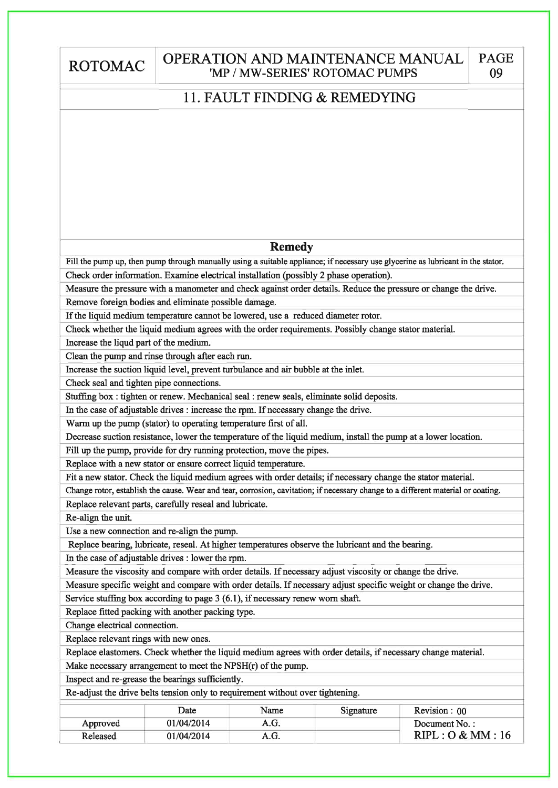| <b>ROTOMAC</b>                              | <b>OPERATION AND MAINTENANCE MANUAL</b><br>'MP / MW-SERIES' ROTOMAC PUMPS                                                        | <b>PAGE</b><br>09 |
|---------------------------------------------|----------------------------------------------------------------------------------------------------------------------------------|-------------------|
|                                             | 11. FAULT FINDING & REMEDYING                                                                                                    |                   |
|                                             |                                                                                                                                  |                   |
|                                             |                                                                                                                                  |                   |
|                                             |                                                                                                                                  |                   |
|                                             |                                                                                                                                  |                   |
|                                             |                                                                                                                                  |                   |
|                                             |                                                                                                                                  |                   |
|                                             |                                                                                                                                  |                   |
|                                             |                                                                                                                                  |                   |
|                                             |                                                                                                                                  |                   |
|                                             | <b>Remedy</b>                                                                                                                    |                   |
|                                             | Fill the pump up, then pump through manually using a suitable appliance; if necessary use glycerine as lubricant in the stator.  |                   |
|                                             | Check order information. Examine electrical installation (possibly 2 phase operation).                                           |                   |
|                                             | Measure the pressure with a manometer and check against order details. Reduce the pressure or change the drive.                  |                   |
|                                             | Remove foreign bodies and eliminate possible damage.                                                                             |                   |
|                                             | If the liquid medium temperature cannot be lowered, use a reduced diameter rotor.                                                |                   |
|                                             | Check whether the liquid medium agrees with the order requirements. Possibly change stator material.                             |                   |
| Increase the liqud part of the medium.      |                                                                                                                                  |                   |
|                                             | Clean the pump and rinse through after each run.                                                                                 |                   |
|                                             | Increase the suction liquid level, prevent turbulance and air bubble at the inlet.                                               |                   |
| Check seal and tighten pipe connections.    |                                                                                                                                  |                   |
|                                             | Stuffing box : tighten or renew. Mechanical seal : renew seals, eliminate solid deposits.                                        |                   |
|                                             | In the case of adjustable drives : increase the rpm. If necessary change the drive.                                              |                   |
|                                             | Warm up the pump (stator) to operating temperature first of all.                                                                 |                   |
|                                             | Decrease suction resistance, lower the temperature of the liquid medium, install the pump at a lower location.                   |                   |
|                                             | Fill up the pump, provide for dry running protection, move the pipes.                                                            |                   |
|                                             | Replace with a new stator or ensure correct liquid temperature.                                                                  |                   |
|                                             | Fit a new stator. Check the liquid medium agrees with order details; if necessary change the stator material.                    |                   |
|                                             | Change rotor, establish the cause. Wear and tear, corrosion, cavitation; if necessary change to a different material or coating. |                   |
|                                             | Replace relevant parts, carefully reseal and lubricate.                                                                          |                   |
| Re-align the unit.                          |                                                                                                                                  |                   |
| Use a new connection and re-align the pump. |                                                                                                                                  |                   |
|                                             | Replace bearing, lubricate, reseal. At higher temperatures observe the lubricant and the bearing.                                |                   |
|                                             | In the case of adjustable drives : lower the rpm.                                                                                |                   |
|                                             | Measure the viscosity and compare with order details. If necessary adjust viscosity or change the drive.                         |                   |
|                                             | Measure specific weight and compare with order details. If necessary adjust specific weight or change the drive.                 |                   |
|                                             | Service stuffing box according to page 3 (6.1), if necessary renew worn shaft.                                                   |                   |
|                                             | Replace fitted packing with another packing type.                                                                                |                   |
| Change electrical connection.               |                                                                                                                                  |                   |
| Replace relevant rings with new ones.       |                                                                                                                                  |                   |
|                                             | Replace elastomers. Check whether the liquid medium agrees with order details, if necessary change material.                     |                   |
|                                             | Make necessary arrangement to meet the NPSH(r) of the pump.                                                                      |                   |
|                                             | Inspect and re-grease the bearings sufficiently.                                                                                 |                   |
|                                             | Re-adjust the drive belts tension only to requirement without over tightening.                                                   |                   |
|                                             | <b>Data</b><br>Nome<br>Cionatura<br>Dariation:00                                                                                 |                   |

|          | Date       | Name | Signature | Revision: 00   |  |
|----------|------------|------|-----------|----------------|--|
| Approved | 01/04/2014 | A.G. |           | Document No.:  |  |
| Released | 01/04/2014 | A.G. |           | RIPL:O & MM:16 |  |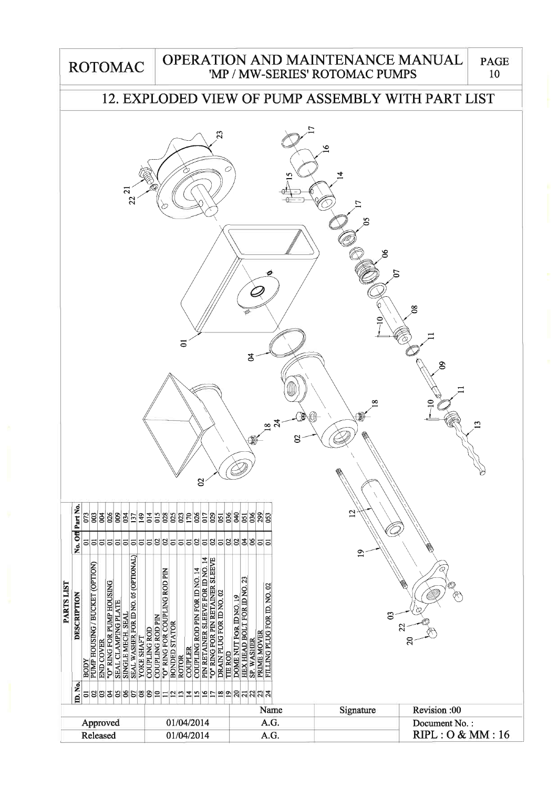